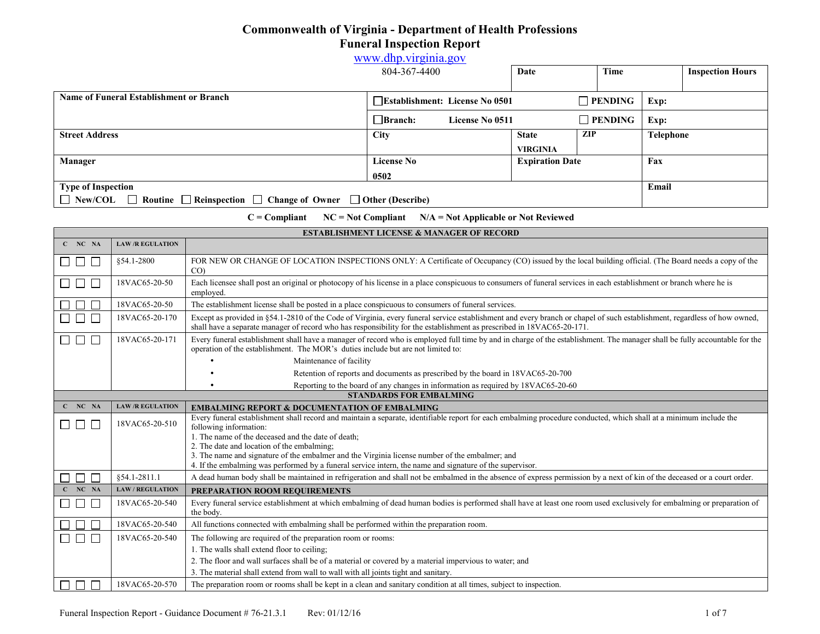## **Commonwealth of Virginia - Department of Health Professions Funeral Inspection Report**  [www.dhp.virginia.gov](http://www.dhp.virginia.gov/)

|                                                                                                  | www.dnp.virginia.gov                                    |                        |     |                |           |                         |
|--------------------------------------------------------------------------------------------------|---------------------------------------------------------|------------------------|-----|----------------|-----------|-------------------------|
|                                                                                                  | 804-367-4400                                            | Date                   |     | Time           |           | <b>Inspection Hours</b> |
|                                                                                                  |                                                         |                        |     |                |           |                         |
| <b>Name of Funeral Establishment or Branch</b>                                                   | $\Box$ PENDING<br><b>Establishment: License No 0501</b> |                        |     | Exp:           |           |                         |
|                                                                                                  | $\Box$ Branch:<br>License No 0511                       |                        |     | $\Box$ PENDING | Exp:      |                         |
| <b>Street Address</b>                                                                            | City                                                    | <b>State</b>           | ZIP |                | Telephone |                         |
|                                                                                                  |                                                         | <b>VIRGINIA</b>        |     |                |           |                         |
| Manager                                                                                          | <b>License No</b>                                       | <b>Expiration Date</b> |     |                | Fax       |                         |
|                                                                                                  | 0502                                                    |                        |     |                |           |                         |
| <b>Type of Inspection</b>                                                                        |                                                         |                        |     | Email          |           |                         |
| $\Box$ New/COL $\Box$ Routine $\Box$ Reinspection $\Box$ Change of Owner $\Box$ Other (Describe) |                                                         |                        |     |                |           |                         |

**C = Compliant NC = Not Compliant N/A = Not Applicable or Not Reviewed** 

| <b>Сошриаш</b><br>$\mathbf{R}$ and compliant $\mathbf{R}$ and applicable of the Keneweg |                                                      |                                                                                                                                                                                                                                                                                                   |  |
|-----------------------------------------------------------------------------------------|------------------------------------------------------|---------------------------------------------------------------------------------------------------------------------------------------------------------------------------------------------------------------------------------------------------------------------------------------------------|--|
|                                                                                         | <b>ESTABLISHMENT LICENSE &amp; MANAGER OF RECORD</b> |                                                                                                                                                                                                                                                                                                   |  |
| $C$ NC NA                                                                               | <b>LAW/R EGULATION</b>                               |                                                                                                                                                                                                                                                                                                   |  |
| $\Box$<br>$\Box$                                                                        | \$54.1-2800                                          | FOR NEW OR CHANGE OF LOCATION INSPECTIONS ONLY: A Certificate of Occupancy (CO) issued by the local building official. (The Board needs a copy of the<br>$CO$ )                                                                                                                                   |  |
| $\cdot$ $\Box$ $\cdot$<br>$\Box$                                                        | 18VAC65-20-50                                        | Each licensee shall post an original or photocopy of his license in a place conspicuous to consumers of funeral services in each establishment or branch where he is<br>employed.                                                                                                                 |  |
| ┓<br>L                                                                                  | 18VAC65-20-50                                        | The establishment license shall be posted in a place conspicuous to consumers of funeral services.                                                                                                                                                                                                |  |
| Г                                                                                       | 18VAC65-20-170                                       | Except as provided in §54.1-2810 of the Code of Virginia, every funeral service establishment and every branch or chapel of such establishment, regardless of how owned,<br>shall have a separate manager of record who has responsibility for the establishment as prescribed in 18VAC65-20-171. |  |
| $\Box$ $\Box$<br>$\Box$                                                                 | 18VAC65-20-171                                       | Every funeral establishment shall have a manager of record who is employed full time by and in charge of the establishment. The manager shall be fully accountable for the<br>operation of the establishment. The MOR's duties include but are not limited to:                                    |  |
|                                                                                         |                                                      | Maintenance of facility                                                                                                                                                                                                                                                                           |  |
|                                                                                         |                                                      | Retention of reports and documents as prescribed by the board in 18VAC65-20-700                                                                                                                                                                                                                   |  |
|                                                                                         |                                                      | Reporting to the board of any changes in information as required by 18VAC65-20-60                                                                                                                                                                                                                 |  |
|                                                                                         |                                                      | <b>STANDARDS FOR EMBALMING</b>                                                                                                                                                                                                                                                                    |  |
| $C$ NC NA                                                                               | <b>LAW/R EGULATION</b>                               | <b>EMBALMING REPORT &amp; DOCUMENTATION OF EMBALMING</b>                                                                                                                                                                                                                                          |  |
| $\Box$ $\Box$<br>$\Box$                                                                 | 18VAC65-20-510                                       | Every funeral establishment shall record and maintain a separate, identifiable report for each embalming procedure conducted, which shall at a minimum include the<br>following information:<br>1. The name of the deceased and the date of death;                                                |  |
|                                                                                         |                                                      | 2. The date and location of the embalming;                                                                                                                                                                                                                                                        |  |
|                                                                                         |                                                      | 3. The name and signature of the embalmer and the Virginia license number of the embalmer; and                                                                                                                                                                                                    |  |
|                                                                                         |                                                      | 4. If the embalming was performed by a funeral service intern, the name and signature of the supervisor.                                                                                                                                                                                          |  |
| ┐<br>Г                                                                                  | 854.1-2811.1                                         | A dead human body shall be maintained in refrigeration and shall not be embalmed in the absence of express permission by a next of kin of the deceased or a court order.                                                                                                                          |  |
| $C$ NC NA                                                                               | <b>LAW/REGULATION</b>                                | PREPARATION ROOM REQUIREMENTS                                                                                                                                                                                                                                                                     |  |
| L<br>$\perp$                                                                            | 18VAC65-20-540                                       | Every funeral service establishment at which embalming of dead human bodies is performed shall have at least one room used exclusively for embalming or preparation of<br>the body.                                                                                                               |  |
|                                                                                         | 18VAC65-20-540                                       | All functions connected with embalming shall be performed within the preparation room.                                                                                                                                                                                                            |  |
| Г<br>$\Box$                                                                             | 18VAC65-20-540                                       | The following are required of the preparation room or rooms:                                                                                                                                                                                                                                      |  |
|                                                                                         |                                                      | 1. The walls shall extend floor to ceiling;                                                                                                                                                                                                                                                       |  |
|                                                                                         |                                                      | 2. The floor and wall surfaces shall be of a material or covered by a material impervious to water; and                                                                                                                                                                                           |  |
|                                                                                         |                                                      | 3. The material shall extend from wall to wall with all joints tight and sanitary.                                                                                                                                                                                                                |  |
| $\Box$<br>Ξ                                                                             | 18VAC65-20-570                                       | The preparation room or rooms shall be kept in a clean and sanitary condition at all times, subject to inspection.                                                                                                                                                                                |  |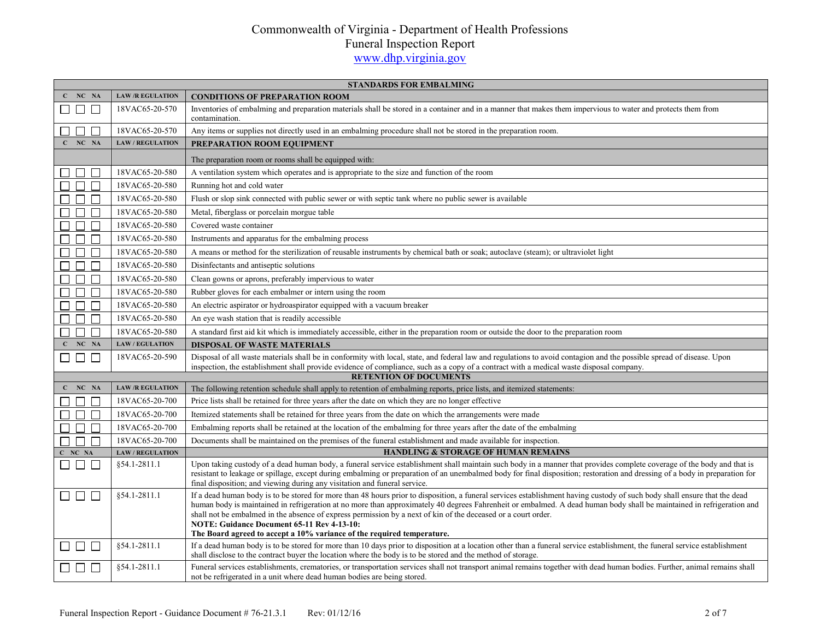|                          | <b>STANDARDS FOR EMBALMING</b>          |                                                                                                                                                                                                                                                                                                                                                                                                                                                                                                                                                                                             |  |
|--------------------------|-----------------------------------------|---------------------------------------------------------------------------------------------------------------------------------------------------------------------------------------------------------------------------------------------------------------------------------------------------------------------------------------------------------------------------------------------------------------------------------------------------------------------------------------------------------------------------------------------------------------------------------------------|--|
| $C$ NC NA                | <b>LAW /R EGULATION</b>                 | <b>CONDITIONS OF PREPARATION ROOM</b>                                                                                                                                                                                                                                                                                                                                                                                                                                                                                                                                                       |  |
| □ □ □                    | 18VAC65-20-570                          | Inventories of embalming and preparation materials shall be stored in a container and in a manner that makes them impervious to water and protects them from<br>contamination.                                                                                                                                                                                                                                                                                                                                                                                                              |  |
| $\Box$                   | 18VAC65-20-570                          | Any items or supplies not directly used in an embalming procedure shall not be stored in the preparation room.                                                                                                                                                                                                                                                                                                                                                                                                                                                                              |  |
| $C$ NC NA                | <b>LAW / REGULATION</b>                 | PREPARATION ROOM EQUIPMENT                                                                                                                                                                                                                                                                                                                                                                                                                                                                                                                                                                  |  |
|                          |                                         | The preparation room or rooms shall be equipped with:                                                                                                                                                                                                                                                                                                                                                                                                                                                                                                                                       |  |
| $\Box$                   | 18VAC65-20-580                          | A ventilation system which operates and is appropriate to the size and function of the room                                                                                                                                                                                                                                                                                                                                                                                                                                                                                                 |  |
|                          | 18VAC65-20-580                          | Running hot and cold water                                                                                                                                                                                                                                                                                                                                                                                                                                                                                                                                                                  |  |
|                          | 18VAC65-20-580                          | Flush or slop sink connected with public sewer or with septic tank where no public sewer is available                                                                                                                                                                                                                                                                                                                                                                                                                                                                                       |  |
|                          | 18VAC65-20-580                          | Metal, fiberglass or porcelain morgue table                                                                                                                                                                                                                                                                                                                                                                                                                                                                                                                                                 |  |
| $\Box$ $\Box$            | 18VAC65-20-580                          | Covered waste container                                                                                                                                                                                                                                                                                                                                                                                                                                                                                                                                                                     |  |
| $\Box$ $\Box$            | 18VAC65-20-580                          | Instruments and apparatus for the embalming process                                                                                                                                                                                                                                                                                                                                                                                                                                                                                                                                         |  |
| П<br>$\Box$              | 18VAC65-20-580                          | A means or method for the sterilization of reusable instruments by chemical bath or soak; autoclave (steam); or ultraviolet light                                                                                                                                                                                                                                                                                                                                                                                                                                                           |  |
| $\Box$ $\Box$            | 18VAC65-20-580                          | Disinfectants and antiseptic solutions                                                                                                                                                                                                                                                                                                                                                                                                                                                                                                                                                      |  |
| $\Box$<br>$\Box$         | 18VAC65-20-580                          | Clean gowns or aprons, preferably impervious to water                                                                                                                                                                                                                                                                                                                                                                                                                                                                                                                                       |  |
| $\Box$<br>$\Box$         | 18VAC65-20-580                          | Rubber gloves for each embalmer or intern using the room                                                                                                                                                                                                                                                                                                                                                                                                                                                                                                                                    |  |
| П                        | 18VAC65-20-580                          | An electric aspirator or hydroaspirator equipped with a vacuum breaker                                                                                                                                                                                                                                                                                                                                                                                                                                                                                                                      |  |
| $\Box$<br>$\Box$         | 18VAC65-20-580                          | An eye wash station that is readily accessible                                                                                                                                                                                                                                                                                                                                                                                                                                                                                                                                              |  |
| П<br>$\Box$              | 18VAC65-20-580                          | A standard first aid kit which is immediately accessible, either in the preparation room or outside the door to the preparation room                                                                                                                                                                                                                                                                                                                                                                                                                                                        |  |
| $C$ NC NA                | <b>LAW / EGULATION</b>                  | <b>DISPOSAL OF WASTE MATERIALS</b>                                                                                                                                                                                                                                                                                                                                                                                                                                                                                                                                                          |  |
| $\Box$ $\Box$            | 18VAC65-20-590                          | Disposal of all waste materials shall be in conformity with local, state, and federal law and regulations to avoid contagion and the possible spread of disease. Upon<br>inspection, the establishment shall provide evidence of compliance, such as a copy of a contract with a medical waste disposal company.                                                                                                                                                                                                                                                                            |  |
| $C$ $NC$ $NA$            | <b>LAW/R EGULATION</b>                  | <b>RETENTION OF DOCUMENTS</b>                                                                                                                                                                                                                                                                                                                                                                                                                                                                                                                                                               |  |
|                          | 18VAC65-20-700                          | The following retention schedule shall apply to retention of embalming reports, price lists, and itemized statements:                                                                                                                                                                                                                                                                                                                                                                                                                                                                       |  |
| $\Box$                   |                                         | Price lists shall be retained for three years after the date on which they are no longer effective                                                                                                                                                                                                                                                                                                                                                                                                                                                                                          |  |
| П                        | 18VAC65-20-700                          | Itemized statements shall be retained for three years from the date on which the arrangements were made                                                                                                                                                                                                                                                                                                                                                                                                                                                                                     |  |
|                          | 18VAC65-20-700                          | Embalming reports shall be retained at the location of the embalming for three years after the date of the embalming                                                                                                                                                                                                                                                                                                                                                                                                                                                                        |  |
| П                        | 18VAC65-20-700                          | Documents shall be maintained on the premises of the funeral establishment and made available for inspection.<br>HANDLING & STORAGE OF HUMAN REMAINS                                                                                                                                                                                                                                                                                                                                                                                                                                        |  |
| C NC NA<br>$\Box$ $\Box$ | <b>LAW / REGULATION</b><br>§54.1-2811.1 | Upon taking custody of a dead human body, a funeral service establishment shall maintain such body in a manner that provides complete coverage of the body and that is<br>resistant to leakage or spillage, except during embalming or preparation of an unembalmed body for final disposition; restoration and dressing of a body in preparation for<br>final disposition; and viewing during any visitation and funeral service.                                                                                                                                                          |  |
| $\Box$ $\Box$            | \$54.1-2811.1                           | If a dead human body is to be stored for more than 48 hours prior to disposition, a funeral services establishment having custody of such body shall ensure that the dead<br>human body is maintained in refrigeration at no more than approximately 40 degrees Fahrenheit or embalmed. A dead human body shall be maintained in refrigeration and<br>shall not be embalmed in the absence of express permission by a next of kin of the deceased or a court order.<br>NOTE: Guidance Document 65-11 Rev 4-13-10:<br>The Board agreed to accept a 10% variance of the required temperature. |  |
| $\Box$ $\Box$            | §54.1-2811.1                            | If a dead human body is to be stored for more than 10 days prior to disposition at a location other than a funeral service establishment, the funeral service establishment<br>shall disclose to the contract buyer the location where the body is to be stored and the method of storage.                                                                                                                                                                                                                                                                                                  |  |
| $\Box$ $\Box$ $\Box$     | \$54.1-2811.1                           | Funeral services establishments, crematories, or transportation services shall not transport animal remains together with dead human bodies. Further, animal remains shall<br>not be refrigerated in a unit where dead human bodies are being stored.                                                                                                                                                                                                                                                                                                                                       |  |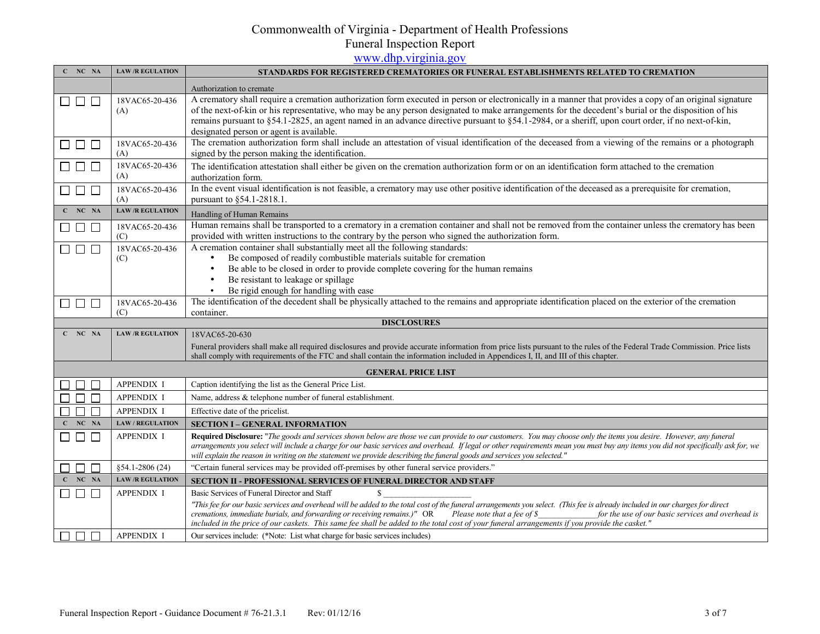# Commonwealth of Virginia - Department of Health Professions

Funeral Inspection Report<br>[www.dhp.virginia.gov](http://www.dhp.virginia.gov/)

| $C$ NC NA                                                  | <b>LAW/R EGULATION</b>  | STANDARDS FOR REGISTERED CREMATORIES OR FUNERAL ESTABLISHMENTS RELATED TO CREMATION                                                                                                                                                                                                                            |
|------------------------------------------------------------|-------------------------|----------------------------------------------------------------------------------------------------------------------------------------------------------------------------------------------------------------------------------------------------------------------------------------------------------------|
|                                                            |                         | Authorization to cremate                                                                                                                                                                                                                                                                                       |
| $\begin{array}{c} \square \ \square \ \square \end{array}$ | 18VAC65-20-436          | A crematory shall require a cremation authorization form executed in person or electronically in a manner that provides a copy of an original signature                                                                                                                                                        |
|                                                            | (A)                     | of the next-of-kin or his representative, who may be any person designated to make arrangements for the decedent's burial or the disposition of his                                                                                                                                                            |
|                                                            |                         | remains pursuant to §54.1-2825, an agent named in an advance directive pursuant to §54.1-2984, or a sheriff, upon court order, if no next-of-kin,                                                                                                                                                              |
|                                                            |                         | designated person or agent is available.                                                                                                                                                                                                                                                                       |
| $\Box$ $\Box$ $\Box$                                       | 18VAC65-20-436          | The cremation authorization form shall include an attestation of visual identification of the deceased from a viewing of the remains or a photograph                                                                                                                                                           |
|                                                            | (A)                     | signed by the person making the identification.                                                                                                                                                                                                                                                                |
| $\Box$ $\Box$ $\Box$                                       | 18VAC65-20-436<br>(A)   | The identification attestation shall either be given on the cremation authorization form or on an identification form attached to the cremation                                                                                                                                                                |
|                                                            |                         | authorization form.<br>In the event visual identification is not feasible, a crematory may use other positive identification of the deceased as a prerequisite for cremation,                                                                                                                                  |
| $\Box$ $\Box$ $\Box$                                       | 18VAC65-20-436<br>(A)   | pursuant to §54.1-2818.1.                                                                                                                                                                                                                                                                                      |
| $C$ $NC$ $NA$                                              | <b>LAW/R EGULATION</b>  |                                                                                                                                                                                                                                                                                                                |
|                                                            |                         | Handling of Human Remains                                                                                                                                                                                                                                                                                      |
| $\Box$ $\Box$ $\Box$                                       | 18VAC65-20-436          | Human remains shall be transported to a crematory in a cremation container and shall not be removed from the container unless the crematory has been                                                                                                                                                           |
|                                                            | (C)                     | provided with written instructions to the contrary by the person who signed the authorization form.<br>A cremation container shall substantially meet all the following standards:                                                                                                                             |
| $\Box$ $\Box$ $\Box$                                       | 18VAC65-20-436<br>(C)   | Be composed of readily combustible materials suitable for cremation<br>$\bullet$                                                                                                                                                                                                                               |
|                                                            |                         | Be able to be closed in order to provide complete covering for the human remains<br>$\bullet$                                                                                                                                                                                                                  |
|                                                            |                         | Be resistant to leakage or spillage<br>$\bullet$                                                                                                                                                                                                                                                               |
|                                                            |                         | Be rigid enough for handling with ease<br>$\bullet$                                                                                                                                                                                                                                                            |
| $\Box$ $\Box$                                              | 18VAC65-20-436          | The identification of the decedent shall be physically attached to the remains and appropriate identification placed on the exterior of the cremation                                                                                                                                                          |
|                                                            | (C)                     | container.                                                                                                                                                                                                                                                                                                     |
|                                                            |                         | <b>DISCLOSURES</b>                                                                                                                                                                                                                                                                                             |
| $C$ NC NA                                                  | <b>LAW/R EGULATION</b>  | 18VAC65-20-630                                                                                                                                                                                                                                                                                                 |
|                                                            |                         | Funeral providers shall make all required disclosures and provide accurate information from price lists pursuant to the rules of the Federal Trade Commission. Price lists                                                                                                                                     |
|                                                            |                         | shall comply with requirements of the FTC and shall contain the information included in Appendices I, II, and III of this chapter.                                                                                                                                                                             |
|                                                            |                         | <b>GENERAL PRICE LIST</b>                                                                                                                                                                                                                                                                                      |
|                                                            | <b>APPENDIX I</b>       | Caption identifying the list as the General Price List.                                                                                                                                                                                                                                                        |
|                                                            | <b>APPENDIX I</b>       | Name, address & telephone number of funeral establishment.                                                                                                                                                                                                                                                     |
| $\Box$                                                     | <b>APPENDIX I</b>       | Effective date of the pricelist.                                                                                                                                                                                                                                                                               |
| NC NA                                                      | <b>LAW / REGULATION</b> | <b>SECTION I - GENERAL INFORMATION</b>                                                                                                                                                                                                                                                                         |
| $\Box$                                                     | <b>APPENDIX I</b>       | Required Disclosure: "The goods and services shown below are those we can provide to our customers. You may choose only the items you desire. However, any funeral                                                                                                                                             |
|                                                            |                         | arrangements you select will include a charge for our basic services and overhead. If legal or other requirements mean you must buy any items you did not specifically ask for, we                                                                                                                             |
|                                                            |                         | will explain the reason in writing on the statement we provide describing the funeral goods and services you selected."                                                                                                                                                                                        |
| $\Box$<br>$\Box$                                           | $§54.1 - 2806(24)$      | "Certain funeral services may be provided off-premises by other funeral service providers."                                                                                                                                                                                                                    |
| $C$ NC NA                                                  | <b>LAW/R EGULATION</b>  | SECTION II - PROFESSIONAL SERVICES OF FUNERAL DIRECTOR AND STAFF                                                                                                                                                                                                                                               |
| $\Box$<br>$\Box$ $\Box$                                    | <b>APPENDIX I</b>       | Basic Services of Funeral Director and Staff<br>\$.                                                                                                                                                                                                                                                            |
|                                                            |                         | "This fee for our basic services and overhead will be added to the total cost of the funeral arrangements you select. (This fee is already included in our charges for direct                                                                                                                                  |
|                                                            |                         | cremations, immediate burials, and forwarding or receiving remains.)" OR<br>Please note that a fee of \$<br>for the use of our basic services and overhead is<br>included in the price of our caskets. This same fee shall be added to the total cost of your funeral arrangements if you provide the casket." |
| $\Box$<br>П<br>$\Box$                                      | <b>APPENDIX I</b>       | Our services include: (*Note: List what charge for basic services includes)                                                                                                                                                                                                                                    |
|                                                            |                         |                                                                                                                                                                                                                                                                                                                |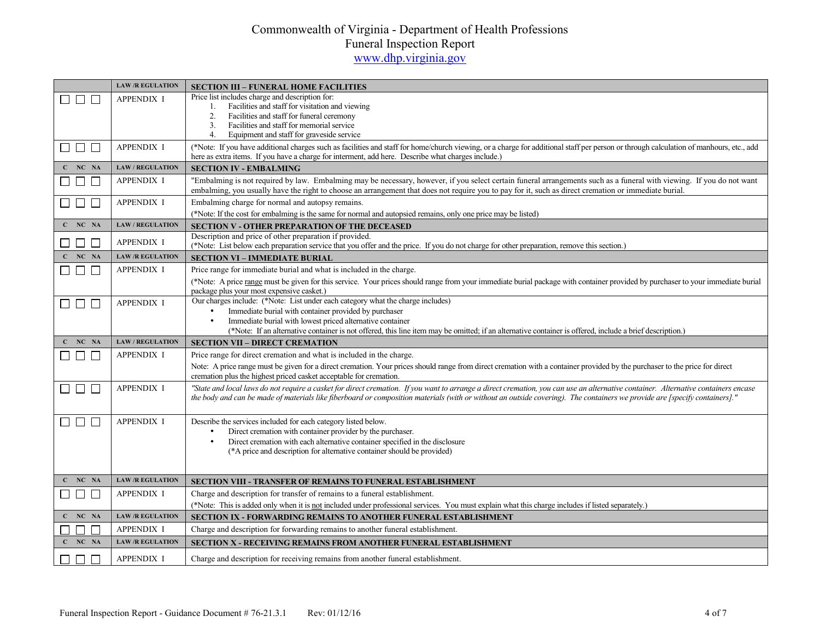|                                                            | <b>LAW/R EGULATION</b>  | <b>SECTION III - FUNERAL HOME FACILITIES</b>                                                                                                                                                                                                                                                                                                                     |
|------------------------------------------------------------|-------------------------|------------------------------------------------------------------------------------------------------------------------------------------------------------------------------------------------------------------------------------------------------------------------------------------------------------------------------------------------------------------|
| $\perp$                                                    | <b>APPENDIX I</b>       | Price list includes charge and description for:                                                                                                                                                                                                                                                                                                                  |
|                                                            |                         | Facilities and staff for visitation and viewing<br>1.<br>Facilities and staff for funeral ceremony<br>2.                                                                                                                                                                                                                                                         |
|                                                            |                         | 3.<br>Facilities and staff for memorial service                                                                                                                                                                                                                                                                                                                  |
|                                                            |                         | 4.<br>Equipment and staff for graveside service                                                                                                                                                                                                                                                                                                                  |
| $\begin{array}{c} \square \ \square \ \square \end{array}$ | <b>APPENDIX I</b>       | (*Note: If you have additional charges such as facilities and staff for home/church viewing, or a charge for additional staff per person or through calculation of manhours, etc., add<br>here as extra items. If you have a charge for interment, add here. Describe what charges include.)                                                                     |
| $C$ NC NA                                                  | <b>LAW / REGULATION</b> | <b>SECTION IV - EMBALMING</b>                                                                                                                                                                                                                                                                                                                                    |
| $\Box$                                                     | <b>APPENDIX I</b>       | "Embalming is not required by law. Embalming may be necessary, however, if you select certain funeral arrangements such as a funeral with viewing. If you do not want<br>embalming, you usually have the right to choose an arrangement that does not require you to pay for it, such as direct cremation or immediate burial.                                   |
| $\Box$ $\Box$<br>$\overline{\phantom{a}}$                  | <b>APPENDIX I</b>       | Embalming charge for normal and autopsy remains.                                                                                                                                                                                                                                                                                                                 |
|                                                            |                         | (*Note: If the cost for embalming is the same for normal and autopsied remains, only one price may be listed)                                                                                                                                                                                                                                                    |
| $C$ NC NA                                                  | <b>LAW / REGULATION</b> | <b>SECTION V - OTHER PREPARATION OF THE DECEASED</b>                                                                                                                                                                                                                                                                                                             |
| $\perp$                                                    | <b>APPENDIX I</b>       | Description and price of other preparation if provided.<br>(*Note: List below each preparation service that you offer and the price. If you do not charge for other preparation, remove this section.)                                                                                                                                                           |
| $C$ NC NA                                                  | <b>LAW/R EGULATION</b>  | <b>SECTION VI - IMMEDIATE BURIAL</b>                                                                                                                                                                                                                                                                                                                             |
| $\Box$ $\Box$                                              | <b>APPENDIX I</b>       | Price range for immediate burial and what is included in the charge.                                                                                                                                                                                                                                                                                             |
|                                                            |                         | (*Note: A price range must be given for this service. Your prices should range from your immediate burial package with container provided by purchaser to your immediate burial<br>package plus your most expensive casket.)                                                                                                                                     |
| 88 8 8                                                     | <b>APPENDIX I</b>       | Our charges include: (*Note: List under each category what the charge includes)                                                                                                                                                                                                                                                                                  |
|                                                            |                         | Immediate burial with container provided by purchaser<br>$\bullet$<br>Immediate burial with lowest priced alternative container<br>$\bullet$                                                                                                                                                                                                                     |
|                                                            |                         | (*Note: If an alternative container is not offered, this line item may be omitted; if an alternative container is offered, include a brief description.)                                                                                                                                                                                                         |
| $C$ NC NA                                                  | <b>LAW / REGULATION</b> | <b>SECTION VII - DIRECT CREMATION</b>                                                                                                                                                                                                                                                                                                                            |
| $\Box$<br>$\mathsf{L}$                                     | <b>APPENDIX I</b>       | Price range for direct cremation and what is included in the charge.                                                                                                                                                                                                                                                                                             |
|                                                            |                         | Note: A price range must be given for a direct cremation. Your prices should range from direct cremation with a container provided by the purchaser to the price for direct                                                                                                                                                                                      |
|                                                            |                         | cremation plus the highest priced casket acceptable for cremation.                                                                                                                                                                                                                                                                                               |
| $\Box$ $\Box$<br>П                                         | <b>APPENDIX I</b>       | "State and local laws do not require a casket for direct cremation. If you want to arrange a direct cremation, you can use an alternative container. Alternative containers encase<br>the body and can be made of materials like fiberboard or composition materials (with or without an outside covering). The containers we provide are [specify containers]." |
| $\Box$<br>$\Box$                                           | <b>APPENDIX I</b>       | Describe the services included for each category listed below.                                                                                                                                                                                                                                                                                                   |
|                                                            |                         | Direct cremation with container provider by the purchaser.<br>$\bullet$                                                                                                                                                                                                                                                                                          |
|                                                            |                         | Direct cremation with each alternative container specified in the disclosure<br>$\bullet$<br>(*A price and description for alternative container should be provided)                                                                                                                                                                                             |
|                                                            |                         |                                                                                                                                                                                                                                                                                                                                                                  |
|                                                            |                         |                                                                                                                                                                                                                                                                                                                                                                  |
| C NC NA                                                    | <b>LAW/R EGULATION</b>  | <b>SECTION VIII - TRANSFER OF REMAINS TO FUNERAL ESTABLISHMENT</b>                                                                                                                                                                                                                                                                                               |
| $\overline{\phantom{a}}$<br>$\mathcal{L}$<br>∟             | <b>APPENDIX I</b>       | Charge and description for transfer of remains to a funeral establishment.                                                                                                                                                                                                                                                                                       |
| $C$ NC NA                                                  | <b>LAW/R EGULATION</b>  | (*Note: This is added only when it is not included under professional services. You must explain what this charge includes if listed separately.)                                                                                                                                                                                                                |
|                                                            |                         | SECTION IX - FORWARDING REMAINS TO ANOTHER FUNERAL ESTABLISHMENT                                                                                                                                                                                                                                                                                                 |
| $\Box$<br>$\Box$                                           | <b>APPENDIX I</b>       | Charge and description for forwarding remains to another funeral establishment.                                                                                                                                                                                                                                                                                  |
| $C$ $NC$ $NA$                                              | <b>LAW/R EGULATION</b>  | <b>SECTION X - RECEIVING REMAINS FROM ANOTHER FUNERAL ESTABLISHMENT</b>                                                                                                                                                                                                                                                                                          |
| $\Box$ $\Box$<br>ΙI                                        | <b>APPENDIX I</b>       | Charge and description for receiving remains from another funeral establishment.                                                                                                                                                                                                                                                                                 |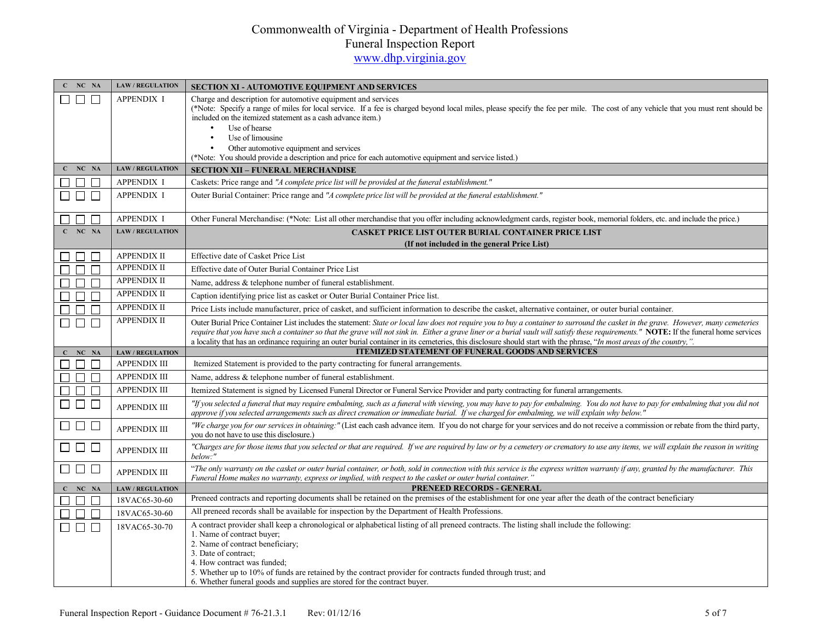| C NC NA                            | <b>LAW / REGULATION</b> | <b>SECTION XI - AUTOMOTIVE EQUIPMENT AND SERVICES</b>                                                                                                                                                                                                                                                                                                                                                                                                                                                                                                  |
|------------------------------------|-------------------------|--------------------------------------------------------------------------------------------------------------------------------------------------------------------------------------------------------------------------------------------------------------------------------------------------------------------------------------------------------------------------------------------------------------------------------------------------------------------------------------------------------------------------------------------------------|
| ⊓г                                 | <b>APPENDIX I</b>       | Charge and description for automotive equipment and services<br>(*Note: Specify a range of miles for local service. If a fee is charged beyond local miles, please specify the fee per mile. The cost of any vehicle that you must rent should be<br>included on the itemized statement as a cash advance item.)<br>Use of hearse<br>$\bullet$<br>Use of limousine<br>$\bullet$<br>Other automotive equipment and services<br>(*Note: You should provide a description and price for each automotive equipment and service listed.)                    |
| $C$ NC NA                          | <b>LAW / REGULATION</b> | <b>SECTION XII - FUNERAL MERCHANDISE</b>                                                                                                                                                                                                                                                                                                                                                                                                                                                                                                               |
|                                    | <b>APPENDIX I</b>       | Caskets: Price range and "A complete price list will be provided at the funeral establishment."                                                                                                                                                                                                                                                                                                                                                                                                                                                        |
| $\Box$                             | <b>APPENDIX I</b>       | Outer Burial Container: Price range and "A complete price list will be provided at the funeral establishment."                                                                                                                                                                                                                                                                                                                                                                                                                                         |
| $\Box$<br>$\overline{\phantom{a}}$ | <b>APPENDIX I</b>       | Other Funeral Merchandise: (*Note: List all other merchandise that you offer including acknowledgment cards, register book, memorial folders, etc. and include the price.)                                                                                                                                                                                                                                                                                                                                                                             |
| $C$ NC NA                          | <b>LAW / REGULATION</b> | <b>CASKET PRICE LIST OUTER BURIAL CONTAINER PRICE LIST</b>                                                                                                                                                                                                                                                                                                                                                                                                                                                                                             |
|                                    |                         | (If not included in the general Price List)                                                                                                                                                                                                                                                                                                                                                                                                                                                                                                            |
| $\Box$<br>$\Box$                   | <b>APPENDIX II</b>      | Effective date of Casket Price List                                                                                                                                                                                                                                                                                                                                                                                                                                                                                                                    |
| $\Box$<br>$\Box$                   | <b>APPENDIX II</b>      | Effective date of Outer Burial Container Price List                                                                                                                                                                                                                                                                                                                                                                                                                                                                                                    |
| П<br>$\Box$                        | <b>APPENDIX II</b>      | Name, address & telephone number of funeral establishment.                                                                                                                                                                                                                                                                                                                                                                                                                                                                                             |
| $\Box$<br>П                        | <b>APPENDIX II</b>      | Caption identifying price list as casket or Outer Burial Container Price list.                                                                                                                                                                                                                                                                                                                                                                                                                                                                         |
| $\Box$<br>П                        | <b>APPENDIX II</b>      | Price Lists include manufacturer, price of casket, and sufficient information to describe the casket, alternative container, or outer burial container.                                                                                                                                                                                                                                                                                                                                                                                                |
| $\overline{a}$<br>$\Box$ $\Box$    | <b>APPENDIX II</b>      | Outer Burial Price Container List includes the statement: State or local law does not require you to buy a container to surround the casket in the grave. However, many cemeteries<br>require that you have such a container so that the grave will not sink in. Either a grave liner or a burial vault will satisfy these requirements." NOTE: If the funeral home services<br>a locality that has an ordinance requiring an outer burial container in its cemeteries, this disclosure should start with the phrase, "In most areas of the country,". |
| $C$ $NC$ $NA$                      | <b>LAW / REGULATION</b> | <b>ITEMIZED STATEMENT OF FUNERAL GOODS AND SERVICES</b>                                                                                                                                                                                                                                                                                                                                                                                                                                                                                                |
| $\Box$ $\Box$ $\Box$               | <b>APPENDIX III</b>     | Itemized Statement is provided to the party contracting for funeral arrangements.                                                                                                                                                                                                                                                                                                                                                                                                                                                                      |
| $\Box$ $\Box$                      | <b>APPENDIX III</b>     | Name, address & telephone number of funeral establishment.                                                                                                                                                                                                                                                                                                                                                                                                                                                                                             |
| $\Box$<br>$\Box$                   | <b>APPENDIX III</b>     | Itemized Statement is signed by Licensed Funeral Director or Funeral Service Provider and party contracting for funeral arrangements.                                                                                                                                                                                                                                                                                                                                                                                                                  |
| $\Box$ $\Box$                      | <b>APPENDIX III</b>     | "If you selected a funeral that may require embalming, such as a funeral with viewing, you may have to pay for embalming. You do not have to pay for embalming that you did not<br>approve if you selected arrangements such as direct cremation or immediate burial. If we charged for embalming, we will explain why below.'                                                                                                                                                                                                                         |
| 88 8 8                             | <b>APPENDIX III</b>     | "We charge you for our services in obtaining:" (List each cash advance item. If you do not charge for your services and do not receive a commission or rebate from the third party,<br>you do not have to use this disclosure.)                                                                                                                                                                                                                                                                                                                        |
| $\square$ $\square$ $\square$      | <b>APPENDIX III</b>     | "Charges are for those items that you selected or that are required. If we are required by law or by a cemetery or crematory to use any items, we will explain the reason in writing<br>below:"                                                                                                                                                                                                                                                                                                                                                        |
| $\Box$ $\Box$ $\Box$               | <b>APPENDIX III</b>     | "The only warranty on the casket or outer burial container, or both, sold in connection with this service is the express written warranty if any, granted by the manufacturer. This<br>Funeral Home makes no warranty, express or implied, with respect to the casket or outer burial container."                                                                                                                                                                                                                                                      |
| $C$ NC NA                          | <b>LAW / REGULATION</b> | PRENEED RECORDS - GENERAL                                                                                                                                                                                                                                                                                                                                                                                                                                                                                                                              |
| $\Box$<br>$\Box$                   | 18VAC65-30-60           | Preneed contracts and reporting documents shall be retained on the premises of the establishment for one year after the death of the contract beneficiary                                                                                                                                                                                                                                                                                                                                                                                              |
| $\Box$                             | 18VAC65-30-60           | All preneed records shall be available for inspection by the Department of Health Professions.                                                                                                                                                                                                                                                                                                                                                                                                                                                         |
| $\Box$<br>$\mathbf{L}$             | 18VAC65-30-70           | A contract provider shall keep a chronological or alphabetical listing of all preneed contracts. The listing shall include the following:<br>1. Name of contract buyer;<br>2. Name of contract beneficiary;<br>3. Date of contract:<br>4. How contract was funded;<br>5. Whether up to 10% of funds are retained by the contract provider for contracts funded through trust; and<br>6. Whether funeral goods and supplies are stored for the contract buyer.                                                                                          |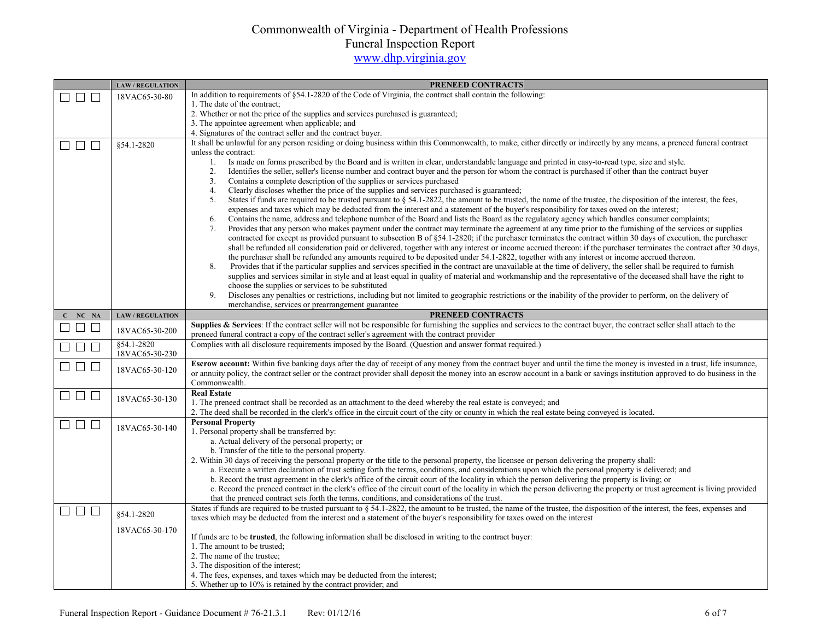|                               | <b>LAW / REGULATION</b>      | <b>PRENEED CONTRACTS</b>                                                                                                                                                                                                                                                                                   |
|-------------------------------|------------------------------|------------------------------------------------------------------------------------------------------------------------------------------------------------------------------------------------------------------------------------------------------------------------------------------------------------|
| $\Box$ $\Box$<br>$\mathsf{L}$ | 18VAC65-30-80                | In addition to requirements of §54.1-2820 of the Code of Virginia, the contract shall contain the following:                                                                                                                                                                                               |
|                               |                              | 1. The date of the contract;                                                                                                                                                                                                                                                                               |
|                               |                              | 2. Whether or not the price of the supplies and services purchased is guaranteed;<br>3. The appointee agreement when applicable; and                                                                                                                                                                       |
|                               |                              | 4. Signatures of the contract seller and the contract buyer.                                                                                                                                                                                                                                               |
| $\Box$ $\Box$                 | \$54.1-2820                  | It shall be unlawful for any person residing or doing business within this Commonwealth, to make, either directly or indirectly by any means, a preneed funeral contract                                                                                                                                   |
| ⊔                             |                              | unless the contract:                                                                                                                                                                                                                                                                                       |
|                               |                              | Is made on forms prescribed by the Board and is written in clear, understandable language and printed in easy-to-read type, size and style.<br>1.                                                                                                                                                          |
|                               |                              | 2.<br>Identifies the seller, seller's license number and contract buyer and the person for whom the contract is purchased if other than the contract buyer                                                                                                                                                 |
|                               |                              | Contains a complete description of the supplies or services purchased<br>3.                                                                                                                                                                                                                                |
|                               |                              | Clearly discloses whether the price of the supplies and services purchased is guaranteed;<br>4.                                                                                                                                                                                                            |
|                               |                              | States if funds are required to be trusted pursuant to § 54.1-2822, the amount to be trusted, the name of the trustee, the disposition of the interest, the fees,<br>5.                                                                                                                                    |
|                               |                              | expenses and taxes which may be deducted from the interest and a statement of the buyer's responsibility for taxes owed on the interest;<br>Contains the name, address and telephone number of the Board and lists the Board as the regulatory agency which handles consumer complaints;<br>6.             |
|                               |                              | Provides that any person who makes payment under the contract may terminate the agreement at any time prior to the furnishing of the services or supplies<br>7.                                                                                                                                            |
|                               |                              | contracted for except as provided pursuant to subsection B of §54.1-2820; if the purchaser terminates the contract within 30 days of execution, the purchaser                                                                                                                                              |
|                               |                              | shall be refunded all consideration paid or delivered, together with any interest or income accrued thereon: if the purchaser terminates the contract after 30 days,                                                                                                                                       |
|                               |                              | the purchaser shall be refunded any amounts required to be deposited under 54.1-2822, together with any interest or income accrued thereon.                                                                                                                                                                |
|                               |                              | Provides that if the particular supplies and services specified in the contract are unavailable at the time of delivery, the seller shall be required to furnish<br>8.                                                                                                                                     |
|                               |                              | supplies and services similar in style and at least equal in quality of material and workmanship and the representative of the deceased shall have the right to                                                                                                                                            |
|                               |                              | choose the supplies or services to be substituted<br>Discloses any penalties or restrictions, including but not limited to geographic restrictions or the inability of the provider to perform, on the delivery of<br>9.                                                                                   |
|                               |                              | merchandise, services or prearrangement guarantee                                                                                                                                                                                                                                                          |
| NC NA                         | <b>LAW / REGULATION</b>      | PRENEED CONTRACTS                                                                                                                                                                                                                                                                                          |
| $\Box$ $\Box$                 |                              | Supplies & Services: If the contract seller will not be responsible for furnishing the supplies and services to the contract buyer, the contract seller shall attach to the                                                                                                                                |
|                               | 18VAC65-30-200               | preneed funeral contract a copy of the contract seller's agreement with the contract provider                                                                                                                                                                                                              |
| $\Box$<br>$\Box$              | §54.1-2820<br>18VAC65-30-230 | Complies with all disclosure requirements imposed by the Board. (Question and answer format required.)                                                                                                                                                                                                     |
| $\Box$ $\Box$ $\Box$          | 18VAC65-30-120               | Escrow account: Within five banking days after the day of receipt of any money from the contract buyer and until the time the money is invested in a trust, life insurance,                                                                                                                                |
|                               |                              | or annuity policy, the contract seller or the contract provider shall deposit the money into an escrow account in a bank or savings institution approved to do business in the                                                                                                                             |
|                               |                              | Commonwealth.<br><b>Real Estate</b>                                                                                                                                                                                                                                                                        |
| $\Box$ $\Box$ $\Box$          | 18VAC65-30-130               | 1. The preneed contract shall be recorded as an attachment to the deed whereby the real estate is conveyed; and                                                                                                                                                                                            |
|                               |                              | 2. The deed shall be recorded in the clerk's office in the circuit court of the city or county in which the real estate being conveyed is located.                                                                                                                                                         |
| $\Box$ $\Box$                 |                              | <b>Personal Property</b>                                                                                                                                                                                                                                                                                   |
|                               | 18VAC65-30-140               | 1. Personal property shall be transferred by:                                                                                                                                                                                                                                                              |
|                               |                              | a. Actual delivery of the personal property; or                                                                                                                                                                                                                                                            |
|                               |                              | b. Transfer of the title to the personal property.                                                                                                                                                                                                                                                         |
|                               |                              | 2. Within 30 days of receiving the personal property or the title to the personal property, the licensee or person delivering the property shall:                                                                                                                                                          |
|                               |                              | a. Execute a written declaration of trust setting forth the terms, conditions, and considerations upon which the personal property is delivered; and<br>b. Record the trust agreement in the clerk's office of the circuit court of the locality in which the person delivering the property is living; or |
|                               |                              | c. Record the preneed contract in the clerk's office of the circuit court of the locality in which the person delivering the property or trust agreement is living provided                                                                                                                                |
|                               |                              | that the preneed contract sets forth the terms, conditions, and considerations of the trust.                                                                                                                                                                                                               |
| $\Box$ $\Box$ $\Box$          |                              | States if funds are required to be trusted pursuant to $\S$ 54.1-2822, the amount to be trusted, the name of the trustee, the disposition of the interest, the fees, expenses and                                                                                                                          |
|                               | \$54.1-2820                  | taxes which may be deducted from the interest and a statement of the buyer's responsibility for taxes owed on the interest                                                                                                                                                                                 |
|                               | 18VAC65-30-170               |                                                                                                                                                                                                                                                                                                            |
|                               |                              | If funds are to be <b>trusted</b> , the following information shall be disclosed in writing to the contract buyer:<br>1. The amount to be trusted;                                                                                                                                                         |
|                               |                              | 2. The name of the trustee;                                                                                                                                                                                                                                                                                |
|                               |                              | 3. The disposition of the interest;                                                                                                                                                                                                                                                                        |
|                               |                              | 4. The fees, expenses, and taxes which may be deducted from the interest;                                                                                                                                                                                                                                  |
|                               |                              | 5. Whether up to 10% is retained by the contract provider; and                                                                                                                                                                                                                                             |